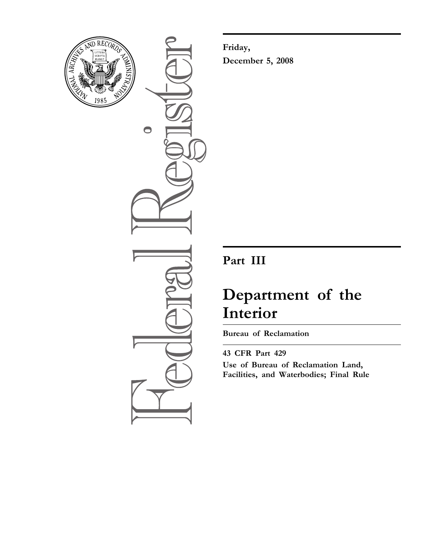

 $\bullet$ 

**Friday, December 5, 2008** 

## **Part III**

# **Department of the Interior**

**Bureau of Reclamation** 

**43 CFR Part 429 Use of Bureau of Reclamation Land, Facilities, and Waterbodies; Final Rule**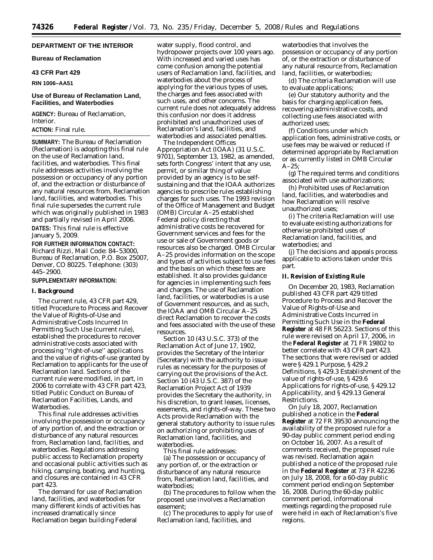## **DEPARTMENT OF THE INTERIOR**

**Bureau of Reclamation** 

## **43 CFR Part 429**

**RIN 1006–AA51** 

## **Use of Bureau of Reclamation Land, Facilities, and Waterbodies**

**AGENCY:** Bureau of Reclamation, Interior.

## **ACTION:** Final rule.

**SUMMARY:** The Bureau of Reclamation (Reclamation) is adopting this final rule on the use of Reclamation land, facilities, and waterbodies. This final rule addresses activities involving the possession or occupancy of any portion of, and the extraction or disturbance of any natural resources from, Reclamation land, facilities, and waterbodies. This final rule supersedes the current rule which was originally published in 1983 and partially revised in April 2006.

**DATES:** This final rule is effective January 5, 2009.

**FOR FURTHER INFORMATION CONTACT:**  Richard Rizzi, Mail Code: 84–53000, Bureau of Reclamation, P.O. Box 25007, Denver, CO 80225. Telephone: (303) 445–2900.

#### **SUPPLEMENTARY INFORMATION:**

#### **I. Background**

The current rule, 43 CFR part 429, titled Procedure to Process and Recover the Value of Rights-of-Use and Administrative Costs Incurred In Permitting Such Use (current rule), established the procedures to recover administrative costs associated with processing ''right-of-use'' applications and the value of rights-of-use granted by Reclamation to applicants for the use of Reclamation land. Sections of the current rule were modified, in part, in 2006 to correlate with 43 CFR part 423, titled Public Conduct on Bureau of Reclamation Facilities, Lands, and Waterbodies.

This final rule addresses activities involving the possession or occupancy of any portion of, and the extraction or disturbance of any natural resources from, Reclamation land, facilities, and waterbodies. Regulations addressing public access to Reclamation property and occasional public activities such as hiking, camping, boating, and hunting, and closures are contained in 43 CFR part 423.

The demand for use of Reclamation land, facilities, and waterbodies for many different kinds of activities has increased dramatically since Reclamation began building Federal

water supply, flood control, and hydropower projects over 100 years ago. With increased and varied uses has come confusion among the potential users of Reclamation land, facilities, and waterbodies about the process of applying for the various types of uses, the charges and fees associated with such uses, and other concerns. The current rule does not adequately address this confusion nor does it address prohibited and unauthorized uses of Reclamation's land, facilities, and waterbodies and associated penalties.

The Independent Offices Appropriation Act (IOAA) (31 U.S.C. 9701), September 13, 1982, as amended, sets forth Congress' intent that any use, permit, or similar thing of value provided by an agency is to be selfsustaining and that the IOAA authorizes agencies to prescribe rules establishing charges for such uses. The 1993 revision of the Office of Management and Budget (OMB) Circular A–25 established Federal policy directing that administrative costs be recovered for Government services and fees for the use or sale of Government goods or resources also be charged. OMB Circular A–25 provides information on the scope and types of activities subject to use fees and the basis on which these fees are established. It also provides guidance for agencies in implementing such fees and charges. The use of Reclamation land, facilities, or waterbodies is a use of Government resources, and as such, the IOAA and OMB Circular A–25 direct Reclamation to recover the costs and fees associated with the use of these resources.

Section 10 (43 U.S.C. 373) of the Reclamation Act of June 17, 1902, provides the Secretary of the Interior (Secretary) with the authority to issue rules as necessary for the purposes of carrying out the provisions of the Act. Section 10 (43 U.S.C. 387) of the Reclamation Project Act of 1939 provides the Secretary the authority, in his discretion, to grant leases, licenses, easements, and rights-of-way. These two Acts provide Reclamation with the general statutory authority to issue rules on authorizing or prohibiting uses of Reclamation land, facilities, and waterbodies.

This final rule addresses:

(a) The possession or occupancy of any portion of, or the extraction or disturbance of any natural resource from, Reclamation land, facilities, and waterbodies;

(b) The procedures to follow when the proposed use involves a Reclamation easement;

(c) The procedures to apply for use of Reclamation land, facilities, and

waterbodies that involves the possession or occupancy of any portion of, or the extraction or disturbance of any natural resource from, Reclamation land, facilities, or waterbodies;

(d) The criteria Reclamation will use to evaluate applications;

(e) Our statutory authority and the basis for charging application fees, recovering administrative costs, and collecting use fees associated with authorized uses;

(f) Conditions under which application fees, administrative costs, or use fees may be waived or reduced if determined appropriate by Reclamation or as currently listed in OMB Circular A–25;

(g) The required terms and conditions associated with use authorizations;

(h) Prohibited uses of Reclamation land, facilities, and waterbodies and how Reclamation will resolve unauthorized uses;

(i) The criteria Reclamation will use to evaluate existing authorizations for otherwise prohibited uses of Reclamation land, facilities, and waterbodies; and

(j) The decisions and appeals process applicable to actions taken under this part.

## **II. Revision of Existing Rule**

On December 20, 1983, Reclamation published 43 CFR part 429 titled Procedure to Process and Recover the Value of Rights-of-Use and Administrative Costs Incurred in Permitting Such Use in the **Federal Register** at 48 FR 56223. Sections of this rule were revised on April 17, 2006, in the **Federal Register** at 71 FR 19802 to better correlate with 43 CFR part 423. The sections that were revised or added were § 429.1 Purpose, § 429.2 Definitions, § 429.3 Establishment of the value of rights-of-use, § 429.6 Applications for rights-of-use, § 429.12 Applicability, and § 429.13 General Restrictions.

On July 18, 2007, Reclamation published a notice in the **Federal Register** at 72 FR 39530 announcing the availability of the proposed rule for a 90-day public comment period ending on October 16, 2007. As a result of comments received, the proposed rule was revised. Reclamation again published a notice of the proposed rule in the **Federal Register** at 73 FR 42236 on July 18, 2008, for a 60-day public comment period ending on September 16, 2008. During the 60-day public comment period, informational meetings regarding the proposed rule were held in each of Reclamation's five regions.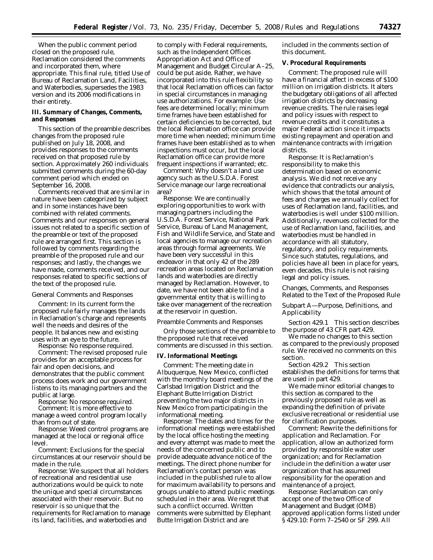When the public comment period closed on the proposed rule, Reclamation considered the comments and incorporated them, where appropriate. This final rule, titled Use of Bureau of Reclamation Land, Facilities, and Waterbodies, supersedes the 1983 version and its 2006 modifications in their entirety.

## **III. Summary of Changes, Comments, and Responses**

This section of the preamble describes changes from the proposed rule published on July 18, 2008, and provides responses to the comments received on that proposed rule by section. Approximately 260 individuals submitted comments during the 60-day comment period which ended on September 16, 2008.

Comments received that are similar in nature have been categorized by subject and in some instances have been combined with related comments. Comments and our responses on general issues not related to a specific section of the preamble or text of the proposed rule are arranged first. This section is followed by comments regarding the preamble of the proposed rule and our responses; and lastly, the changes we have made, comments received, and our responses related to specific sections of the text of the proposed rule.

#### *General Comments and Responses*

*Comment:* In its current form the proposed rule fairly manages the lands in Reclamation's charge and represents well the needs and desires of the people. It balances new and existing uses with an eye to the future.

*Response:* No response required. *Comment:* The revised proposed rule provides for an acceptable process for fair and open decisions, and demonstrates that the public comment process does work and our government listens to its managing partners and the public at large.

*Response:* No response required.

*Comment:* It is more effective to manage a weed control program locally than from out of state.

*Response:* Weed control programs are managed at the local or regional office level.

*Comment:* Exclusions for the special circumstances at our reservoir should be made in the rule.

*Response:* We suspect that all holders of recreational and residential use authorizations would be quick to note the unique and special circumstances associated with their reservoir. But no reservoir is so unique that the requirements for Reclamation to manage its land, facilities, and waterbodies and

to comply with Federal requirements, such as the Independent Offices Appropriation Act and Office of Management and Budget Circular A–25, could be put aside. Rather, we have incorporated into this rule flexibility so that local Reclamation offices can factor in special circumstances in managing use authorizations. For example: Use fees are determined locally; minimum time frames have been established for certain deficiencies to be corrected, but the local Reclamation office can provide more time when needed; minimum time frames have been established as to when inspections must occur, but the local Reclamation office can provide more frequent inspections if warranted; etc.

*Comment:* Why doesn't a land use agency such as the U.S.D.A. Forest Service manage our large recreational area?

*Response:* We are continually exploring opportunities to work with managing partners including the U.S.D.A. Forest Service, National Park Service, Bureau of Land Management, Fish and Wildlife Service, and State and local agencies to manage our recreation areas through formal agreements. We have been very successful in this endeavor in that only 42 of the 289 recreation areas located on Reclamation lands and waterbodies are directly managed by Reclamation. However, to date, we have not been able to find a governmental entity that is willing to take over management of the recreation at the reservoir in question.

#### *Preamble Comments and Responses*

Only those sections of the preamble to the proposed rule that received comments are discussed in this section.

#### **IV. Informational Meetings**

*Comment:* The meeting date in Albuquerque, New Mexico, conflicted with the monthly board meetings of the Carlsbad Irrigation District and the Elephant Butte Irrigation District preventing the two major districts in New Mexico from participating in the informational meeting.

*Response:* The dates and times for the informational meetings were established by the local office hosting the meeting and every attempt was made to meet the needs of the concerned public and to provide adequate advance notice of the meetings. The direct phone number for Reclamation's contact person was included in the published rule to allow for maximum availability to persons and groups unable to attend public meetings scheduled in their area. We regret that such a conflict occurred. Written comments were submitted by Elephant Butte Irrigation District and are

included in the comments section of this document.

#### **V. Procedural Requirements**

*Comment:* The proposed rule will have a financial affect in excess of \$100 million on irrigation districts. It alters the budgetary obligations of all affected irrigation districts by decreasing revenue credits. The rule raises legal and policy issues with respect to revenue credits and it constitutes a major Federal action since it impacts existing repayment and operation and maintenance contracts with irrigation districts.

*Response:* It is Reclamation's responsibility to make this determination based on economic analysis. We did not receive any evidence that contradicts our analysis, which shows that the total amount of fees and charges we annually collect for uses of Reclamation land, facilities, and waterbodies is well under \$100 million. Additionally, revenues collected for the use of Reclamation land, facilities, and waterbodies must be handled in accordance with all statutory, regulatory, and policy requirements. Since such statutes, regulations, and policies have all been in place for years, even decades, this rule is not raising legal and policy issues.

## *Changes, Comments, and Responses Related to the Text of the Proposed Rule*

Subpart A—Purpose, Definitions, and Applicability

Section 429.1 This section describes the purpose of 43 CFR part 429.

We made no changes to this section as compared to the previously proposed rule. We received no comments on this section.

Section 429.2 This section establishes the definitions for terms that are used in part 429.

We made minor editorial changes to this section as compared to the previously proposed rule as well as expanding the definition of *private exclusive recreational or residential use*  for clarification purposes.

*Comment:* Rewrite the definitions for *application* and *Reclamation*. For *application*, allow an authorized form provided by responsible water user organization; and for *Reclamation*  include in the definition a water user organization that has assumed responsibility for the operation and maintenance of a project.

*Response:* Reclamation can only accept one of the two Office of Management and Budget (OMB) approved application forms listed under § 429.10: Form 7–2540 or SF 299. All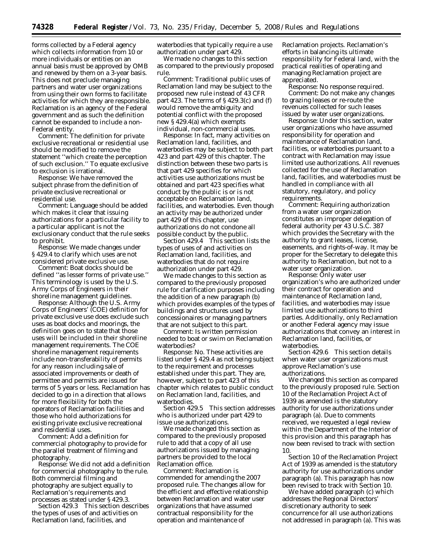forms collected by a Federal agency which collects information from 10 or more individuals or entities on an annual basis must be approved by OMB and renewed by them on a 3-year basis. This does not preclude managing partners and water user organizations from using their own forms to facilitate activities for which they are responsible. Reclamation is an agency of the Federal government and as such the definition cannot be expanded to include a non-Federal entity.

*Comment:* The definition for *private exclusive recreational or residential use*  should be modified to remove the statement ''which create the perception of such exclusion.'' To equate exclusive to exclusion is irrational.

*Response:* We have removed the subject phrase from the definition of *private exclusive recreational or residential use*.

*Comment:* Language should be added which makes it clear that issuing authorizations for a particular facility to a particular applicant is not the exclusionary conduct that the rule seeks to prohibit.

*Response:* We made changes under § 429.4 to clarify which uses are not considered private exclusive use.

*Comment:* Boat docks should be defined ''as lesser forms of private use.'' This terminology is used by the U.S. Army Corps of Engineers in their shoreline management guidelines.

*Response:* Although the U.S. Army Corps of Engineers' (COE) definition for private exclusive use does exclude such uses as boat docks and moorings, the definition goes on to state that those uses will be included in their shoreline management requirements. The COE shoreline management requirements include non-transferability of permits for any reason including sale of associated improvements or death of permittee and permits are issued for terms of 5 years or less. Reclamation has decided to go in a direction that allows for more flexibility for both the operators of Reclamation facilities and those who hold authorizations for existing private exclusive recreational and residential uses.

*Comment:* Add a definition for *commercial photography* to provide for the parallel treatment of filming and photography.

*Response:* We did not add a definition for commercial photography to the rule. Both commercial filming and photography are subject equally to Reclamation's requirements and processes as stated under § 429.3.

Section 429.3 This section describes the types of uses of and activities on Reclamation land, facilities, and

waterbodies that typically require a use authorization under part 429.

We made no changes to this section as compared to the previously proposed rule.

*Comment:* Traditional public uses of Reclamation land may be subject to the proposed new rule instead of 43 CFR part 423. The terms of § 429.3(c) and (f) would remove the ambiguity and potential conflict with the proposed new § 429.4(a) which exempts individual, non-commercial uses.

*Response:* In fact, many activities on Reclamation land, facilities, and waterbodies may be subject to both part 423 and part 429 of this chapter. The distinction between these two parts is that part 429 specifies for which activities use authorizations must be obtained and part 423 specifies what conduct by the public is or is not acceptable on Reclamation land, facilities, and waterbodies. Even though an activity may be authorized under part 429 of this chapter, use authorizations do not condone all possible conduct by the public.

Section 429.4 This section lists the types of uses of and activities on Reclamation land, facilities, and waterbodies that do not require authorization under part 429.

We made changes to this section as compared to the previously proposed rule for clarification purposes including the addition of a new paragraph (b) which provides examples of the types of buildings and structures used by concessionaires or managing partners that are not subject to this part.

*Comment:* Is written permission needed to boat or swim on Reclamation waterbodies?

*Response:* No. These activities are listed under § 429.4 as not being subject to the requirement and processes established under this part. They are, however, subject to part 423 of this chapter which relates to public conduct on Reclamation land, facilities, and waterbodies.

Section 429.5 This section addresses who is authorized under part 429 to issue use authorizations.

We made changed this section as compared to the previously proposed rule to add that a copy of all use authorizations issued by managing partners be provided to the local Reclamation office.

*Comment:* Reclamation is commended for amending the 2007 proposed rule. The changes allow for the efficient and effective relationship between Reclamation and water user organizations that have assumed contractual responsibility for the operation and maintenance of

Reclamation projects. Reclamation's efforts in balancing its ultimate responsibility for Federal land, with the practical realities of operating and managing Reclamation project are appreciated.

*Response:* No response required. *Comment:* Do not make any changes to grazing leases or re-route the revenues collected for such leases issued by water user organizations.

*Response:* Under this section, water user organizations who have assumed responsibility for operation and maintenance of Reclamation land, facilities, or waterbodies pursuant to a contract with Reclamation may issue limited use authorizations. All revenues collected for the use of Reclamation land, facilities, and waterbodies must be handled in compliance with all statutory, regulatory, and policy requirements.

*Comment:* Requiring authorization from a water user organization constitutes an improper delegation of federal authority per 43 U.S.C. 387 which provides the Secretary with the authority to grant leases, license, easements, and rights-of-way. It may be proper for the Secretary to delegate this authority to Reclamation, but not to a water user organization.

*Response:* Only water user organization's who are authorized under their contract for operation and maintenance of Reclamation land, facilities, and waterbodies may issue limited use authorizations to third parties. Additionally, only Reclamation or another Federal agency may issue authorizations that convey an interest in Reclamation land, facilities, or waterbodies.

Section 429.6 This section details when water user organizations must approve Reclamation's use authorizations.

We changed this section as compared to the previously proposed rule. Section 10 of the Reclamation Project Act of 1939 as amended is the statutory authority for use authorizations under paragraph (a). Due to comments received, we requested a legal review within the Department of the Interior of this provision and this paragraph has now been revised to track with section 10.

Section 10 of the Reclamation Project Act of 1939 as amended is the statutory authority for use authorizations under paragraph (a). This paragraph has now been revised to track with Section 10.

We have added paragraph (c) which addresses the Regional Directors' discretionary authority to seek concurrence for all use authorizations not addressed in paragraph (a). This was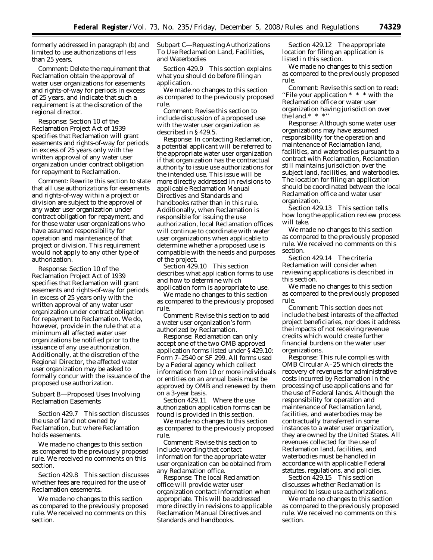formerly addressed in paragraph (b) and limited to use authorizations of less than 25 years.

*Comment:* Delete the requirement that Reclamation obtain the approval of water user organizations for easements and rights-of-way for periods in excess of 25 years, and indicate that such a requirement is at the discretion of the regional director.

*Response:* Section 10 of the Reclamation Project Act of 1939 specifies that Reclamation will grant easements and rights-of-way for periods in excess of 25 years only with the written approval of any water user organization under contract obligation for repayment to Reclamation.

*Comment:* Rewrite this section to state that all use authorizations for easements and rights-of-way within a project or division are subject to the approval of any water user organization under contract obligation for repayment, and for those water user organizations who have assumed responsibility for operation and maintenance of that project or division. This requirement would not apply to any other type of authorization.

*Response:* Section 10 of the Reclamation Project Act of 1939 specifies that Reclamation will grant easements and rights-of-way for periods in excess of 25 years only with the written approval of any water user organization under contract obligation for repayment to Reclamation. We do, however, provide in the rule that at a minimum all affected water user organizations be notified prior to the issuance of any use authorization. Additionally, at the discretion of the Regional Director, the affected water user organization may be asked to formally concur with the issuance of the proposed use authorization.

Subpart B—Proposed Uses Involving Reclamation Easements

Section 429.7 This section discusses the use of land not owned by Reclamation, but where Reclamation holds easements.

We made no changes to this section as compared to the previously proposed rule. We received no comments on this section.

Section 429.8 This section discusses whether fees are required for the use of Reclamation easements.

We made no changes to this section as compared to the previously proposed rule. We received no comments on this section.

Subpart C—Requesting Authorizations To Use Reclamation Land, Facilities, and Waterbodies

Section 429.9 This section explains what you should do before filing an application.

We made no changes to this section as compared to the previously proposed rule.

*Comment:* Revise this section to include discussion of a proposed use with the water user organization as described in § 429.5.

*Response:* In contacting Reclamation, a potential applicant will be referred to the appropriate water user organization if that organization has the contractual authority to issue use authorizations for the intended use. This issue will be more directly addressed in revisions to applicable Reclamation Manual Directives and Standards and handbooks rather than in this rule. Additionally, when Reclamation is responsible for issuing the use authorization, local Reclamation offices will continue to coordinate with water user organizations when applicable to determine whether a proposed use is compatible with the needs and purposes of the project.

Section 429.10 This section describes what application forms to use and how to determine which application form is appropriate to use.

We made no changes to this section as compared to the previously proposed rule.

*Comment:* Revise this section to add a water user organization's form authorized by Reclamation.

*Response:* Reclamation can only accept one of the two OMB approved application forms listed under § 429.10: Form 7–2540 or SF 299. All forms used by a Federal agency which collect information from 10 or more individuals or entities on an annual basis must be approved by OMB and renewed by them on a 3-year basis.

Section 429.11 Where the use authorization application forms can be found is provided in this section.

We made no changes to this section as compared to the previously proposed rule.

*Comment:* Revise this section to include wording that contact information for the appropriate water user organization can be obtained from any Reclamation office.

*Response:* The local Reclamation office will provide water user organization contact information when appropriate. This will be addressed more directly in revisions to applicable Reclamation Manual Directives and Standards and handbooks.

Section 429.12 The appropriate location for filing an application is listed in this section.

We made no changes to this section as compared to the previously proposed rule.

*Comment:* Revise this section to read: "File your application  $* * *$  with the Reclamation office or water user organization having jurisdiction over the land.\* \* \*'

*Response:* Although some water user organizations may have assumed responsibility for the operation and maintenance of Reclamation land, facilities, and waterbodies pursuant to a contract with Reclamation, Reclamation still maintains jurisdiction over the subject land, facilities, and waterbodies. The location for filing an application should be coordinated between the local Reclamation office and water user organization.

Section 429.13 This section tells how long the application review process will take.

We made no changes to this section as compared to the previously proposed rule. We received no comments on this section.

Section 429.14 The criteria Reclamation will consider when reviewing applications is described in this section.

We made no changes to this section as compared to the previously proposed rule.

*Comment:* This section does not include the best interests of the affected project beneficiaries, nor does it address the impacts of not receiving revenue credits which would create further financial burdens on the water user organizations.

*Response:* This rule complies with OMB Circular A–25 which directs the recovery of revenues for administrative costs incurred by Reclamation in the processing of use applications and for the use of Federal lands. Although the responsibility for operation and maintenance of Reclamation land, facilities, and waterbodies may be contractually transferred in some instances to a water user organization, they are owned by the United States. All revenues collected for the use of Reclamation land, facilities, and waterbodies must be handled in accordance with applicable Federal statutes, regulations, and policies.

Section 429.15 This section discusses whether Reclamation is required to issue use authorizations.

We made no changes to this section as compared to the previously proposed rule. We received no comments on this section.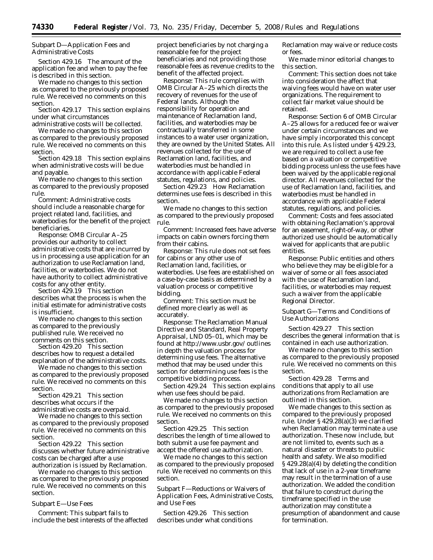Subpart D—Application Fees and Administrative Costs

Section 429.16 The amount of the application fee and when to pay the fee is described in this section.

We made no changes to this section as compared to the previously proposed rule. We received no comments on this section.

Section 429.17 This section explains under what circumstances

administrative costs will be collected. We made no changes to this section as compared to the previously proposed

rule. We received no comments on this section. Section 429.18 This section explains

when administrative costs will be due and payable.

We made no changes to this section as compared to the previously proposed rule.

*Comment:* Administrative costs should include a reasonable charge for project related land, facilities, and waterbodies for the benefit of the project beneficiaries.

*Response:* OMB Circular A–25 provides our authority to collect administrative costs that are incurred by us in processing a use application for an authorization to use Reclamation land, facilities, or waterbodies. We do not have authority to collect administrative costs for any other entity.

Section 429.19 This section describes what the process is when the initial estimate for administrative costs is insufficient.

We made no changes to this section as compared to the previously published rule. We received no comments on this section.

Section 429.20 This section describes how to request a detailed explanation of the administrative costs.

We made no changes to this section as compared to the previously proposed rule. We received no comments on this section.

Section 429.21 This section describes what occurs if the administrative costs are overpaid.

We made no changes to this section as compared to the previously proposed rule. We received no comments on this section.

Section 429.22 This section discusses whether future administrative costs can be charged after a use authorization is issued by Reclamation.

We made no changes to this section as compared to the previously proposed rule. We received no comments on this section.

Subpart E—Use Fees

*Comment:* This subpart fails to include the best interests of the affected

project beneficiaries by not charging a reasonable fee for the project beneficiaries and not providing those reasonable fees as revenue credits to the benefit of the affected project.

*Response:* This rule complies with OMB Circular A–25 which directs the recovery of revenues for the use of Federal lands. Although the responsibility for operation and maintenance of Reclamation land, facilities, and waterbodies may be contractually transferred in some instances to a water user organization, they are owned by the United States. All revenues collected for the use of Reclamation land, facilities, and waterbodies must be handled in accordance with applicable Federal statutes, regulations, and policies.

Section 429.23 How Reclamation determines use fees is described in this section.

We made no changes to this section as compared to the previously proposed rule.

*Comment:* Increased fees have adverse impacts on cabin owners forcing them from their cabins.

*Response:* This rule does not set fees for cabins or any other use of Reclamation land, facilities, or waterbodies. Use fees are established on a case-by-case basis as determined by a valuation process or competitive bidding.

*Comment:* This section must be defined more clearly as well as accurately.

*Response:* The Reclamation Manual Directive and Standard, *Real Property Appraisal*, LND 05–01, which may be found at *[http://www.usbr.gov/](http://www.usbr.gov)* outlines in depth the valuation process for determining use fees. The alternative method that may be used under this section for determining use fees is the competitive bidding process.

Section 429.24 This section explains when use fees should be paid.

We made no changes to this section as compared to the previously proposed rule. We received no comments on this section.

Section 429.25 This section describes the length of time allowed to both submit a use fee payment and accept the offered use authorization.

We made no changes to this section as compared to the previously proposed rule. We received no comments on this section.

Subpart F—Reductions or Waivers of Application Fees, Administrative Costs, and Use Fees

Section 429.26 This section describes under what conditions Reclamation may waive or reduce costs or fees.

We made minor editorial changes to this section.

*Comment:* This section does not take into consideration the affect that waiving fees would have on water user organizations. The requirement to collect fair market value should be retained.

*Response:* Section 6 of OMB Circular A–25 allows for a reduced fee or waiver under certain circumstances and we have simply incorporated this concept into this rule. As listed under § 429.23, we are required to collect a use fee based on a valuation or competitive bidding process unless the use fees have been waived by the applicable regional director. All revenues collected for the use of Reclamation land, facilities, and waterbodies must be handled in accordance with applicable Federal statutes, regulations, and policies.

*Comment:* Costs and fees associated with obtaining Reclamation's approval for an easement, right-of-way, or other authorized use should be automatically waived for applicants that are public entities.

*Response:* Public entities and others who believe they may be eligible for a waiver of some or all fees associated with the use of Reclamation land, facilities, or waterbodies may request such a waiver from the applicable Regional Director.

Subpart G—Terms and Conditions of Use Authorizations

Section 429.27 This section describes the general information that is contained in each use authorization.

We made no changes to this section as compared to the previously proposed rule. We received no comments on this section.

Section 429.28 Terms and conditions that apply to all use authorizations from Reclamation are outlined in this section.

We made changes to this section as compared to the previously proposed rule. Under § 429.28(a)(3) we clarified when Reclamation may terminate a use authorization. These now include, but are not limited to, events such as a natural disaster or threats to public health and safety. We also modified § 429.28(a)(4) by deleting the condition that lack of use in a 2-year timeframe may result in the termination of a use authorization. We added the condition that failure to construct during the timeframe specified in the use authorization may constitute a presumption of abandonment and cause for termination.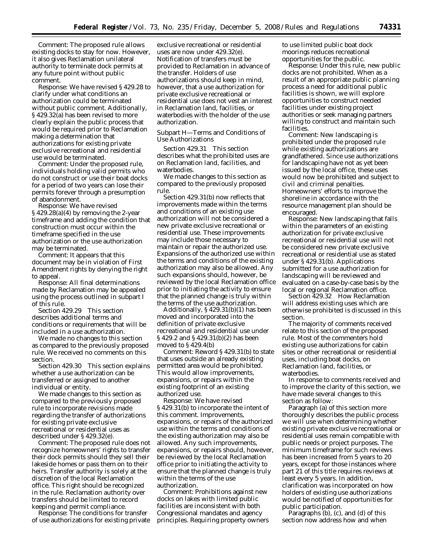*Comment:* The proposed rule allows existing docks to stay for now. However, it also gives Reclamation unilateral authority to terminate dock permits at any future point without public comment.

*Response:* We have revised § 429.28 to clarify under what conditions an authorization could be terminated without public comment. Additionally, § 429.32(a) has been revised to more clearly explain the public process that would be required prior to Reclamation making a determination that authorizations for existing private exclusive recreational and residential use would be terminated.

*Comment:* Under the proposed rule, individuals holding valid permits who do not construct or use their boat docks for a period of two years can lose their permits forever through a presumption of abandonment.

*Response:* We have revised § 429.28(a)(4) by removing the 2-year timeframe and adding the condition that construction must occur within the timeframe specified in the use authorization or the use authorization may be terminated.

*Comment:* It appears that this document may be in violation of First Amendment rights by denying the right to appeal.

*Response:* All final determinations made by Reclamation may be appealed using the process outlined in subpart I of this rule.

Section 429.29 This section describes additional terms and conditions or requirements that will be included in a use authorization.

We made no changes to this section as compared to the previously proposed rule. We received no comments on this section.

Section 429.30 This section explains whether a use authorization can be transferred or assigned to another individual or entity.

We made changes to this section as compared to the previously proposed rule to incorporate revisions made regarding the transfer of authorizations for existing private exclusive recreational or residential uses as described under § 429.32(e).

*Comment:* The proposed rule does not recognize homeowners' rights to transfer their dock permits should they sell their lakeside homes or pass them on to their heirs. Transfer authority is solely at the discretion of the local Reclamation office. This right should be recognized in the rule. Reclamation authority over transfers should be limited to record keeping and permit compliance.

*Response:* The conditions for transfer of use authorizations for existing private

exclusive recreational or residential uses are now under 429.32(e). Notification of transfers must be provided to Reclamation in advance of the transfer. Holders of use authorizations should keep in mind, however, that a use authorization for private exclusive recreational or residential use does not vest an interest in Reclamation land, facilities, or waterbodies with the holder of the use authorization.

Subpart H—Terms and Conditions of Use Authorizations

Section 429.31 This section describes what the prohibited uses are on Reclamation land, facilities, and waterbodies.

We made changes to this section as compared to the previously proposed rule.

Section 429.31(b) now reflects that improvements made within the terms and conditions of an existing use authorization will not be considered a new private exclusive recreational or residential use. These improvements may include those necessary to maintain or repair the authorized use. Expansions of the authorized use within the terms and conditions of the existing authorization may also be allowed. Any such expansions should, however, be reviewed by the local Reclamation office prior to initiating the activity to ensure that the planned change is truly within the terms of the use authorization.

Additionally, § 429.31(b)(1) has been moved and incorporated into the definition of *private exclusive recreational and residential use* under § 429.2 and § 429.31(b)(2) has been moved to § 429.4(b)

*Comment:* Reword § 429.31(b) to state that uses outside an already existing permitted area would be prohibited. This would allow improvements, expansions, or repairs within the existing footprint of an existing authorized use.

*Response:* We have revised § 429.31(b) to incorporate the intent of this comment. Improvements, expansions, or repairs of the authorized use within the terms and conditions of the existing authorization may also be allowed. Any such improvements, expansions, or repairs should, however, be reviewed by the local Reclamation office prior to initiating the activity to ensure that the planned change is truly within the terms of the use authorization.

*Comment:* Prohibitions against new docks on lakes with limited public facilities are inconsistent with both Congressional mandates and agency principles. Requiring property owners to use limited public boat dock moorings reduces recreational opportunities for the public.

*Response:* Under this rule, new public docks are not prohibited. When as a result of an appropriate public planning process a need for additional public facilities is shown, we will explore opportunities to construct needed facilities under existing project authorities or seek managing partners willing to construct and maintain such facilities.

*Comment:* New landscaping is prohibited under the proposed rule while existing authorizations are grandfathered. Since use authorizations for landscaping have not as yet been issued by the local office, these uses would now be prohibited and subject to civil and criminal penalties. Homeowners' efforts to improve the shoreline in accordance with the resource management plan should be encouraged.

*Response:* New landscaping that falls within the parameters of an existing authorization for private exclusive recreational or residential use will not be considered new private exclusive recreational or residential use as stated under § 429.31(b). Applications submitted for a use authorization for landscaping will be reviewed and evaluated on a case-by-case basis by the local or regional Reclamation office.

Section 429.32 How Reclamation will address existing uses which are otherwise prohibited is discussed in this section.

The majority of comments received relate to this section of the proposed rule. Most of the commenters hold existing use authorizations for cabin sites or other recreational or residential uses, including boat docks, on Reclamation land, facilities, or waterbodies.

In response to comments received and to improve the clarity of this section, we have made several changes to this section as follow:

Paragraph (a) of this section more thoroughly describes the public process we will use when determining whether existing private exclusive recreational or residential uses remain compatible with public needs or project purposes. The minimum timeframe for such reviews has been increased from 5 years to 20 years, except for those instances where part 21 of this title requires reviews at least every 5 years. In addition, clarification was incorporated on how holders of existing use authorizations would be notified of opportunities for public participation.

Paragraphs (b), (c), and (d) of this section now address how and when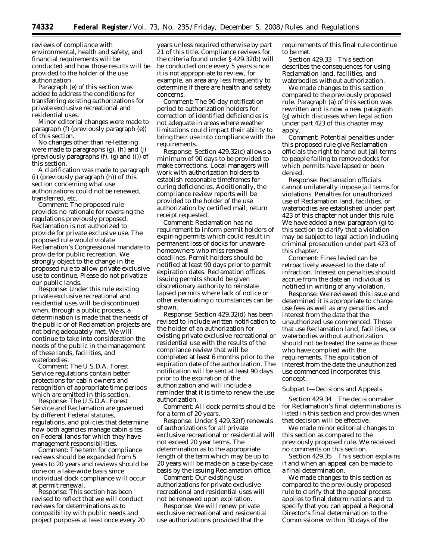reviews of compliance with environmental, health and safety, and financial requirements will be conducted and how those results will be provided to the holder of the use authorization.

Paragraph (e) of this section was added to address the conditions for transferring existing authorizations for private exclusive recreational and residential uses.

Minor editorial changes were made to paragraph (f) (previously paragraph (e)) of this section.

No changes other than re-lettering were made to paragraphs (g), (h) and (j) (previously paragraphs (f), (g) and (i)) of this section.

A clarification was made to paragraph (i) (previously paragraph (h)) of this section concerning what use authorizations could not be renewed, transferred, etc.

*Comment:* The proposed rule provides no rationale for reversing the regulations previously proposed. Reclamation is not authorized to provide for private exclusive use. The proposed rule would violate Reclamation's Congressional mandate to provide for public recreation. We strongly object to the change in the proposed rule to allow private exclusive use to continue. Please do not privatize our public lands.

*Response:* Under this rule existing private exclusive recreational and residential uses will be discontinued when, through a public process, a determination is made that the needs of the public or of Reclamation projects are not being adequately met. We will continue to take into consideration the needs of the public in the management of these lands, facilities, and waterbodies.

*Comment:* The U.S.D.A. Forest Service regulations contain better protections for cabin owners and recognition of appropriate time periods which are omitted in this section.

*Response:* The U.S.D.A. Forest Service and Reclamation are governed by different Federal statutes, regulations, and policies that determine how both agencies manage cabin sites on Federal lands for which they have management responsibilities.

*Comment:* The term for compliance reviews should be expanded from 5 years to 20 years and reviews should be done on a lake-wide basis since individual dock compliance will occur at permit renewal.

*Response:* This section has been revised to reflect that we will conduct reviews for determinations as to compatibility with public needs and project purposes at least once every 20

years unless required otherwise by part 21 of this title. Compliance reviews for the criteria found under § 429.32(b) will be conducted once every 5 years since it is not appropriate to review, for example, an area any less frequently to determine if there are health and safety concerns.

*Comment:* The 90-day notification period to authorization holders for correction of identified deficiencies is not adequate in areas where weather limitations could impact their ability to bring their use into compliance with the requirements.

*Response:* Section 429.32(c) allows a minimum of 90 days to be provided to make corrections. Local managers will work with authorization holders to establish reasonable timeframes for curing deficiencies. Additionally, the compliance review reports will be provided to the holder of the use authorization by certified mail, return receipt requested.

*Comment:* Reclamation has no requirement to inform permit holders of expiring permits which could result in permanent loss of docks for unaware homeowners who miss renewal deadlines. Permit holders should be notified at least 90 days prior to permit expiration dates. Reclamation offices issuing permits should be given discretionary authority to reinstate lapsed permits where lack of notice or other extenuating circumstances can be shown.

*Response:* Section 429.32(d) has been revised to include written notification to the holder of an authorization for existing private exclusive recreational or residential use with the results of the compliance review that will be completed at least 6 months prior to the expiration date of the authorization. The notification will be sent at least 90 days prior to the expiration of the authorization and will include a reminder that it is time to renew the use authorization.

*Comment:* All dock permits should be for a term of 20 years.

*Response:* Under § 429.32(f) renewals of authorizations for all private exclusive recreational or residential will not exceed 20 year terms. The determination as to the appropriate length of the term which may be up to 20 years will be made on a case-by-case basis by the issuing Reclamation office.

*Comment:* Our existing use authorizations for private exclusive recreational and residential uses will not be renewed upon expiration.

*Response:* We will renew private exclusive recreational and residential use authorizations provided that the

requirements of this final rule continue to be met.

Section 429.33 This section describes the consequences for using Reclamation land, facilities, and waterbodies without authorization.

We made changes to this section compared to the previously proposed rule. Paragraph (a) of this section was rewritten and is now a new paragraph (g) which discusses when legal action under part 423 of this chapter may apply.

*Comment:* Potential penalties under this proposed rule give Reclamation officials the right to hand out jail terms to people failing to remove docks for which permits have lapsed or been denied.

*Response:* Reclamation officials cannot unilaterally impose jail terms for violations. Penalties for unauthorized use of Reclamation land, facilities, or waterbodies are established under part 423 of this chapter not under this rule. We have added a new paragraph (g) to this section to clarify that a violation may be subject to legal action including criminal prosecution under part 423 of this chapter.

*Comment:* Fines levied can be retroactively assessed to the date of infraction. Interest on penalties should accrue from the date an individual is notified in writing of any violation.

*Response:* We reviewed this issue and determined it is appropriate to charge use fees as well as any penalties and interest from the date that the unauthorized use commenced. Those that use Reclamation land, facilities, or waterbodies without authorization should not be treated the same as those who have complied with the requirements. The application of interest from the date the unauthorized use commenced incorporates this concept.

#### Subpart I—Decisions and Appeals

Section 429.34 The decisionmaker for Reclamation's final determinations is listed in this section and provides when that decision will be effective.

We made minor editorial changes to this section as compared to the previously proposed rule. We received no comments on this section.

Section 429.35 This section explains if and when an appeal can be made to a final determination.

We made changes to this section as compared to the previously proposed rule to clarify that the appeal process applies to final determinations and to specify that you can appeal a Regional Director's final determination to the Commissioner within 30 days of the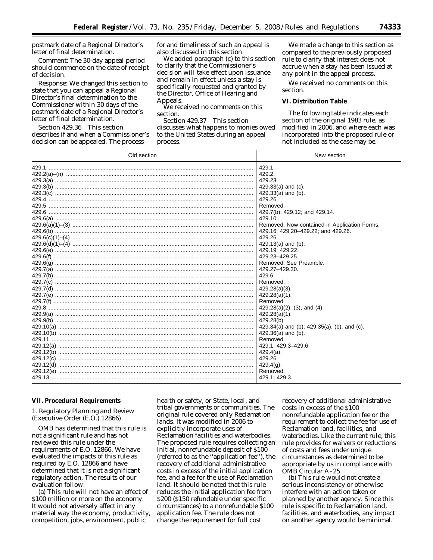postmark date of a Regional Director's letter of final determination.

*Comment:* The 30-day appeal period should commence on the date of receipt of decision.

*Response:* We changed this section to state that you can appeal a Regional Director's final determination to the Commissioner within 30 days of the postmark date of a Regional Director's letter of final determination.

Section 429.36 This section describes if and when a Commissioner's decision can be appealed. The process

for and timeliness of such an appeal is also discussed in this section.

We added paragraph (c) to this section to clarify that the Commissioner's decision will take effect upon issuance and remain in effect unless a stay is specifically requested and granted by the Director, Office of Hearing and Appeals.

We received no comments on this section.

Section 429.37 This section discusses what happens to monies owed to the United States during an appeal process.

We made a change to this section as compared to the previously proposed rule to clarify that interest does not accrue when a stay has been issued at any point in the appeal process.

We received no comments on this section.

## **VI. Distribution Table**

The following table indicates each section of the original 1983 rule, as modified in 2006, and where each was incorporated into the proposed rule or not included as the case may be.

| 429.1.<br>429.2.<br>429.23.<br>$429.33(a)$ and (c).<br>$429.33(a)$ and (b).<br>429.26.<br>Removed.<br>429.7(b); 429.12; and 429.14.<br>429.10.<br>Removed. Now contained in Application Forms.<br>429.16; 429.20-429.22; and 429.26.<br>429.26.<br>$429.13(a)$ and (b).<br>429.19; 429.22.<br>429.23-429.25<br>Removed. See Preamble.<br>429.27-429.30.<br>429.6.<br>Removed.<br>$429.28(a)(3)$ .<br>429.28(a)(1).<br>Removed.<br>$429.28(a)(2)$ , $(3)$ , and $(4)$ .<br>429.28(a)(1).<br>429.28(b).<br>429.34(a) and (b); 429.35(a), (b), and (c).<br>$429.36(a)$ and (b).<br>Removed.<br>429.1; 429.3-429.6.<br>$429.4(a)$ .<br>429.26.<br>$429.4(g)$ .<br>Removed.<br>429.1; 429.3. | Old section | New section |  |  |
|-----------------------------------------------------------------------------------------------------------------------------------------------------------------------------------------------------------------------------------------------------------------------------------------------------------------------------------------------------------------------------------------------------------------------------------------------------------------------------------------------------------------------------------------------------------------------------------------------------------------------------------------------------------------------------------------|-------------|-------------|--|--|
|                                                                                                                                                                                                                                                                                                                                                                                                                                                                                                                                                                                                                                                                                         |             |             |  |  |
|                                                                                                                                                                                                                                                                                                                                                                                                                                                                                                                                                                                                                                                                                         |             |             |  |  |
|                                                                                                                                                                                                                                                                                                                                                                                                                                                                                                                                                                                                                                                                                         |             |             |  |  |
|                                                                                                                                                                                                                                                                                                                                                                                                                                                                                                                                                                                                                                                                                         |             |             |  |  |
|                                                                                                                                                                                                                                                                                                                                                                                                                                                                                                                                                                                                                                                                                         |             |             |  |  |
|                                                                                                                                                                                                                                                                                                                                                                                                                                                                                                                                                                                                                                                                                         |             |             |  |  |
|                                                                                                                                                                                                                                                                                                                                                                                                                                                                                                                                                                                                                                                                                         |             |             |  |  |
|                                                                                                                                                                                                                                                                                                                                                                                                                                                                                                                                                                                                                                                                                         |             |             |  |  |
|                                                                                                                                                                                                                                                                                                                                                                                                                                                                                                                                                                                                                                                                                         |             |             |  |  |
|                                                                                                                                                                                                                                                                                                                                                                                                                                                                                                                                                                                                                                                                                         |             |             |  |  |
|                                                                                                                                                                                                                                                                                                                                                                                                                                                                                                                                                                                                                                                                                         |             |             |  |  |
|                                                                                                                                                                                                                                                                                                                                                                                                                                                                                                                                                                                                                                                                                         |             |             |  |  |
|                                                                                                                                                                                                                                                                                                                                                                                                                                                                                                                                                                                                                                                                                         |             |             |  |  |
|                                                                                                                                                                                                                                                                                                                                                                                                                                                                                                                                                                                                                                                                                         |             |             |  |  |
|                                                                                                                                                                                                                                                                                                                                                                                                                                                                                                                                                                                                                                                                                         |             |             |  |  |
|                                                                                                                                                                                                                                                                                                                                                                                                                                                                                                                                                                                                                                                                                         |             |             |  |  |
|                                                                                                                                                                                                                                                                                                                                                                                                                                                                                                                                                                                                                                                                                         |             |             |  |  |
|                                                                                                                                                                                                                                                                                                                                                                                                                                                                                                                                                                                                                                                                                         |             |             |  |  |
|                                                                                                                                                                                                                                                                                                                                                                                                                                                                                                                                                                                                                                                                                         |             |             |  |  |
|                                                                                                                                                                                                                                                                                                                                                                                                                                                                                                                                                                                                                                                                                         |             |             |  |  |
|                                                                                                                                                                                                                                                                                                                                                                                                                                                                                                                                                                                                                                                                                         |             |             |  |  |
|                                                                                                                                                                                                                                                                                                                                                                                                                                                                                                                                                                                                                                                                                         |             |             |  |  |
|                                                                                                                                                                                                                                                                                                                                                                                                                                                                                                                                                                                                                                                                                         |             |             |  |  |
|                                                                                                                                                                                                                                                                                                                                                                                                                                                                                                                                                                                                                                                                                         |             |             |  |  |
|                                                                                                                                                                                                                                                                                                                                                                                                                                                                                                                                                                                                                                                                                         |             |             |  |  |
|                                                                                                                                                                                                                                                                                                                                                                                                                                                                                                                                                                                                                                                                                         |             |             |  |  |
|                                                                                                                                                                                                                                                                                                                                                                                                                                                                                                                                                                                                                                                                                         |             |             |  |  |
|                                                                                                                                                                                                                                                                                                                                                                                                                                                                                                                                                                                                                                                                                         |             |             |  |  |
|                                                                                                                                                                                                                                                                                                                                                                                                                                                                                                                                                                                                                                                                                         |             |             |  |  |
|                                                                                                                                                                                                                                                                                                                                                                                                                                                                                                                                                                                                                                                                                         |             |             |  |  |
|                                                                                                                                                                                                                                                                                                                                                                                                                                                                                                                                                                                                                                                                                         |             |             |  |  |
|                                                                                                                                                                                                                                                                                                                                                                                                                                                                                                                                                                                                                                                                                         |             |             |  |  |
|                                                                                                                                                                                                                                                                                                                                                                                                                                                                                                                                                                                                                                                                                         |             |             |  |  |
|                                                                                                                                                                                                                                                                                                                                                                                                                                                                                                                                                                                                                                                                                         |             |             |  |  |

## **VII. Procedural Requirements**

## *1. Regulatory Planning and Review (Executive Order (E.O.) 12866)*

OMB has determined that this rule is not a significant rule and has not reviewed this rule under the requirements of E.O. 12866. We have evaluated the impacts of this rule as required by E.O. 12866 and have determined that it is not a significant regulatory action. The results of our evaluation follow:

(a) This rule will not have an effect of \$100 million or more on the economy. It would not adversely affect in any material way the economy, productivity, competition, jobs, environment, public

health or safety, or State, local, and tribal governments or communities. The original rule covered only Reclamation lands. It was modified in 2006 to explicitly incorporate uses of Reclamation facilities and waterbodies. The proposed rule requires collecting an initial, nonrefundable deposit of \$100 (referred to as the ''application fee''), the recovery of additional administrative costs in excess of the initial application fee, and a fee for the use of Reclamation land. It should be noted that this rule reduces the initial application fee from \$200 (\$150 refundable under specific circumstances) to a nonrefundable \$100 application fee. The rule does not change the requirement for full cost

recovery of additional administrative costs in excess of the \$100 nonrefundable application fee or the requirement to collect the fee for use of Reclamation land, facilities, and waterbodies. Like the current rule, this rule provides for waivers or reductions of costs and fees under unique circumstances as determined to be appropriate by us in compliance with OMB Circular A–25.

(b) This rule would not create a serious inconsistency or otherwise interfere with an action taken or planned by another agency. Since this rule is specific to Reclamation land, facilities, and waterbodies, any impact on another agency would be minimal.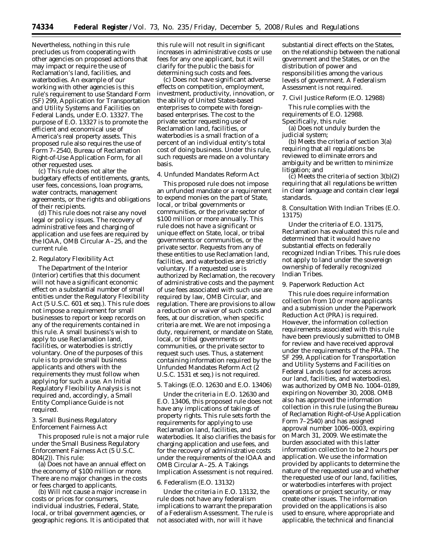Nevertheless, nothing in this rule precludes us from cooperating with other agencies on proposed actions that may impact or require the use of Reclamation's land, facilities, and waterbodies. An example of our working with other agencies is this rule's requirement to use Standard Form (SF) 299, Application for Transportation and Utility Systems and Facilities on Federal Lands, under E.O. 13327. The purpose of E.O. 13327 is to promote the efficient and economical use of America's real property assets. This proposed rule also requires the use of Form 7–2540, Bureau of Reclamation Right-of-Use Application Form, for all other requested uses.

(c) This rule does not alter the budgetary effects of entitlements, grants, user fees, concessions, loan programs, water contracts, management agreements, or the rights and obligations of their recipients.

(d) This rule does not raise any novel legal or policy issues. The recovery of administrative fees and charging of application and use fees are required by the IOAA, OMB Circular A–25, and the current rule.

#### *2. Regulatory Flexibility Act*

The Department of the Interior (Interior) certifies that this document will not have a significant economic effect on a substantial number of small entities under the Regulatory Flexibility Act (5 U.S.C. 601 *et seq.*). This rule does not impose a requirement for small businesses to report or keep records on any of the requirements contained in this rule. A small business's wish to apply to use Reclamation land, facilities, or waterbodies is strictly voluntary. One of the purposes of this rule is to provide small business applicants and others with the requirements they must follow when applying for such a use. An Initial Regulatory Flexibility Analysis is not required and, accordingly, a Small Entity Compliance Guide is not required.

#### *3. Small Business Regulatory Enforcement Fairness Act*

This proposed rule is not a major rule under the Small Business Regulatory Enforcement Fairness Act (5 U.S.C.  $804(2)$ ). This rule:

(a) Does not have an annual effect on the economy of \$100 million or more. There are no major changes in the costs or fees charged to applicants.

(b) Will not cause a major increase in costs or prices for consumers, individual industries, Federal, State, local, or tribal government agencies, or geographic regions. It is anticipated that this rule will not result in significant increases in administrative costs or use fees for any one applicant, but it will clarify for the public the basis for determining such costs and fees.

(c) Does not have significant adverse effects on competition, employment, investment, productivity, innovation, or the ability of United States-based enterprises to compete with foreignbased enterprises. The cost to the private sector requesting use of Reclamation land, facilities, or waterbodies is a small fraction of a percent of an individual entity's total cost of doing business. Under this rule, such requests are made on a voluntary basis.

#### *4. Unfunded Mandates Reform Act*

This proposed rule does not impose an unfunded mandate or a requirement to expend monies on the part of State, local, or tribal governments or communities, or the private sector of \$100 million or more annually. This rule does not have a significant or unique effect on State, local, or tribal governments or communities, or the private sector. Requests from any of these entities to use Reclamation land, facilities, and waterbodies are strictly voluntary. If a requested use is authorized by Reclamation, the recovery of administrative costs and the payment of use fees associated with such use are required by law, OMB Circular, and regulation. There are provisions to allow a reduction or waiver of such costs and fees, at our discretion, when specific criteria are met. We are not imposing a duty, requirement, or mandate on State, local, or tribal governments or communities, or the private sector to request such uses. Thus, a statement containing information required by the Unfunded Mandates Reform Act (2 U.S.C. 1531 *et seq*.) is not required.

#### *5. Takings (E.O. 12630 and E.O. 13406)*

Under the criteria in E.O. 12630 and E.O. 13406, this proposed rule does not have any implications of takings of property rights. This rule sets forth the requirements for applying to use Reclamation land, facilities, and waterbodies. It also clarifies the basis for charging application and use fees, and for the recovery of administrative costs under the requirements of the IOAA and OMB Circular A–25. A Takings Implication Assessment is not required.

#### *6. Federalism (E.O. 13132)*

Under the criteria in E.O. 13132, the rule does not have any federalism implications to warrant the preparation of a Federalism Assessment. The rule is not associated with, nor will it have

substantial direct effects on the States, on the relationship between the national government and the States, or on the distribution of power and responsibilities among the various levels of government. A Federalism Assessment is not required.

#### *7. Civil Justice Reform (E.O. 12988)*

This rule complies with the requirements of E.O. 12988. Specifically, this rule:

(a) Does not unduly burden the judicial system;

(b) Meets the criteria of section 3(a) requiring that all regulations be reviewed to eliminate errors and ambiguity and be written to minimize litigation; and

(c) Meets the criteria of section 3(b)(2) requiring that all regulations be written in clear language and contain clear legal standards.

## *8. Consultation With Indian Tribes (E.O. 13175)*

Under the criteria of E.O. 13175, Reclamation has evaluated this rule and determined that it would have no substantial effects on federally recognized Indian Tribes. This rule does not apply to land under the sovereign ownership of federally recognized Indian Tribes.

#### *9. Paperwork Reduction Act*

This rule does require information collection from 10 or more applicants and a submission under the Paperwork Reduction Act (PRA) is required. However, the information collection requirements associated with this rule have been previously submitted to OMB for review and have received approval under the requirements of the PRA. The SF 299, Application for Transportation and Utility Systems and Facilities on Federal Lands (used for access across our land, facilities, and waterbodies), was authorized by OMB No. 1004–0189, expiring on November 30, 2008. OMB also has approved the information collection in this rule (using the Bureau of Reclamation Right-of-Use Application Form 7–2540) and has assigned approval number 1006–0003, expiring on March 31, 2009. We estimate the burden associated with this latter information collection to be 2 hours per application. We use the information provided by applicants to determine the nature of the requested use and whether the requested use of our land, facilities, or waterbodies interferes with project operations or project security, or may create other issues. The information provided on the applications is also used to ensure, where appropriate and applicable, the technical and financial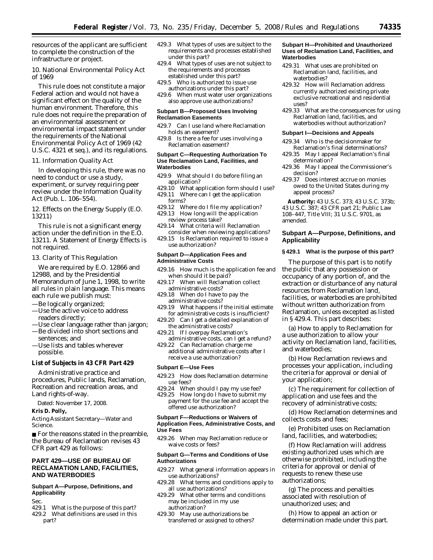resources of the applicant are sufficient to complete the construction of the infrastructure or project.

## *10. National Environmental Policy Act of 1969*

This rule does not constitute a major Federal action and would not have a significant effect on the quality of the human environment. Therefore, this rule does not require the preparation of an environmental assessment or environmental impact statement under the requirements of the National Environmental Policy Act of 1969 (42 U.S.C. 4321 *et seq.*), and its regulations.

## *11. Information Quality Act*

In developing this rule, there was no need to conduct or use a study, experiment, or survey requiring peer review under the Information Quality Act (Pub. L. 106–554).

## *12. Effects on the Energy Supply (E.O. 13211)*

This rule is not a significant energy action under the definition in the E.O. 13211. A Statement of Energy Effects is not required.

#### *13. Clarity of This Regulation*

We are required by E.O. 12866 and 12988, and by the Presidential Memorandum of June 1, 1998, to write all rules in plain language. This means each rule we publish must:

- —Be logically organized;
- —Use the active voice to address readers directly;
- —Use clear language rather than jargon; —Be divided into short sections and
- sentences; and —Use lists and tables wherever possible.

#### **List of Subjects in 43 CFR Part 429**

Administrative practice and procedures, Public lands, Reclamation, Recreation and recreation areas, and Land rights-of-way.

Dated: November 17, 2008.

## **Kris D. Polly,**

*Acting Assistant Secretary—Water and Science.* 

■ For the reasons stated in the preamble, the Bureau of Reclamation revises 43 CFR part 429 as follows:

## **PART 429—USE OF BUREAU OF RECLAMATION LAND, FACILITIES, AND WATERBODIES**

## **Subpart A—Purpose, Definitions, and Applicability**

Sec.<br>429.1

What is the purpose of this part? 429.2 What definitions are used in this part?

- 429.3 What types of uses are subject to the requirements and processes established under this part?
- 429.4 What types of uses are not subject to the requirements and processes established under this part?
- 429.5 Who is authorized to issue use authorizations under this part?
- 429.6 When must water user organizations also approve use authorizations?

#### **Subpart B—Proposed Uses Involving Reclamation Easements**

- 429.7 Can I use land where Reclamation holds an easement?
- 429.8 Is there a fee for uses involving a Reclamation easement?

#### **Subpart C—Requesting Authorization To Use Reclamation Land, Facilities, and Waterbodies**

- 429.9 What should I do before filing an application?
- 429.10 What application form should I use?
- 429.11 Where can I get the application forms?
- 429.12 Where do I file my application? 429.13 How long will the application
- review process take? 429.14 What criteria will Reclamation
- consider when reviewing applications? 429.15 Is Reclamation required to issue a use authorization?

#### **Subpart D—Application Fees and Administrative Costs**

- 429.16 How much is the application fee and when should it be paid?
- 429.17 When will Reclamation collect administrative costs?
- 429.18 When do I have to pay the administrative costs?
- 429.19 What happens if the initial estimate for administrative costs is insufficient?
- 429.20 Can I get a detailed explanation of the administrative costs?
- 429.21 If I overpay Reclamation's administrative costs, can I get a refund?
- 429.22 Can Reclamation charge me additional administrative costs after I receive a use authorization?

#### **Subpart E—Use Fees**

- 429.23 How does Reclamation determine use fees?
- 429.24 When should I pay my use fee?
- 429.25 How long do I have to submit my payment for the use fee and accept the offered use authorization?

#### **Subpart F—Reductions or Waivers of Application Fees, Administrative Costs, and Use Fees**

429.26 When may Reclamation reduce or waive costs or fees?

#### **Subpart G—Terms and Conditions of Use Authorizations**

- 429.27 What general information appears in use authorizations?
- 429.28 What terms and conditions apply to all use authorizations?
- 429.29 What other terms and conditions may be included in my use authorization?
- 429.30 May use authorizations be transferred or assigned to others?

#### **Subpart H—Prohibited and Unauthorized Uses of Reclamation Land, Facilities, and Waterbodies**

- 429.31 What uses are prohibited on Reclamation land, facilities, and waterbodies?
- 429.32 How will Reclamation address currently authorized existing private exclusive recreational and residential uses?
- 429.33 What are the consequences for using Reclamation land, facilities, and waterbodies without authorization?

#### **Subpart I—Decisions and Appeals**

- 429.34 Who is the decisionmaker for Reclamation's final determinations?
- 429.35 May I appeal Reclamation's final determination?
- 429.36 May I appeal the Commissioner's decision?
- 429.37 Does interest accrue on monies owed to the United States during my appeal process?

**Authority:** 43 U.S.C. 373; 43 U.S.C. 373b; 43 U.S.C. 387; 43 CFR part 21; Public Law 108–447, Title VIII; 31 U.S.C. 9701, as amended.

## **Subpart A—Purpose, Definitions, and Applicability**

## **§ 429.1 What is the purpose of this part?**

The purpose of this part is to notify the public that any possession or occupancy of any portion of, and the extraction or disturbance of any natural resources from Reclamation land, facilities, or waterbodies are prohibited without written authorization from Reclamation, unless excepted as listed in § 429.4. This part describes:

(a) How to apply to Reclamation for a use authorization to allow your activity on Reclamation land, facilities, and waterbodies;

(b) How Reclamation reviews and processes your application, including the criteria for approval or denial of your application;

(c) The requirement for collection of application and use fees and the recovery of administrative costs;

(d) How Reclamation determines and collects costs and fees;

(e) Prohibited uses on Reclamation land, facilities, and waterbodies;

(f) How Reclamation will address existing authorized uses which are otherwise prohibited, including the criteria for approval or denial of requests to renew these use authorizations;

(g) The process and penalties associated with resolution of unauthorized uses; and

(h) How to appeal an action or determination made under this part.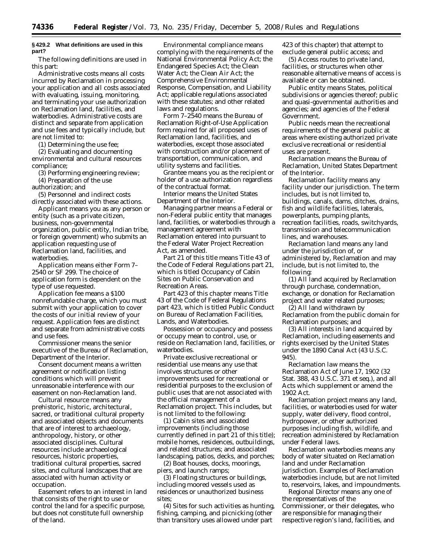## **§ 429.2 What definitions are used in this part?**

The following definitions are used in this part:

*Administrative costs* means all costs incurred by Reclamation in processing your application and all costs associated with evaluating, issuing, monitoring, and terminating your use authorization on Reclamation land, facilities, and waterbodies. Administrative costs are distinct and separate from application and use fees and typically include, but are not limited to:

(1) Determining the use fee;

(2) Evaluating and documenting environmental and cultural resources compliance;

(3) Performing engineering review;

(4) Preparation of the use

authorization; and

(5) Personnel and indirect costs directly associated with these actions.

*Applicant* means you as any person or entity (such as a private citizen, business, non-governmental organization, public entity, Indian tribe, or foreign government) who submits an application requesting use of Reclamation land, facilities, and waterbodies.

*Application* means either Form 7– 2540 or SF 299. The choice of application form is dependent on the type of use requested.

*Application fee* means a \$100 nonrefundable charge, which you must submit with your application to cover the costs of our initial review of your request. Application fees are distinct and separate from administrative costs and use fees.

*Commissioner* means the senior executive of the Bureau of Reclamation, Department of the Interior.

*Consent document* means a written agreement or notification listing conditions which will prevent unreasonable interference with our easement on non-Reclamation land.

*Cultural resource* means any prehistoric, historic, architectural, sacred, or traditional cultural property and associated objects and documents that are of interest to archaeology, anthropology, history, or other associated disciplines. Cultural resources include archaeological resources, historic properties, traditional cultural properties, sacred sites, and cultural landscapes that are associated with human activity or occupation.

*Easement* refers to an interest in land that consists of the right to use or control the land for a specific purpose, but does not constitute full ownership of the land.

*Environmental compliance* means complying with the requirements of the National Environmental Policy Act; the Endangered Species Act; the Clean Water Act; the Clean Air Act; the Comprehensive Environmental Response, Compensation, and Liability Act; applicable regulations associated with these statutes; and other related laws and regulations.

*Form 7–2540* means the Bureau of Reclamation Right-of-Use Application form required for all proposed uses of Reclamation land, facilities, and waterbodies, except those associated with construction and/or placement of transportation, communication, and utility systems and facilities.

*Grantee* means you as the recipient or holder of a use authorization regardless of the contractual format.

*Interior* means the United States Department of the Interior.

*Managing partner* means a Federal or non-Federal public entity that manages land, facilities, or waterbodies through a management agreement with Reclamation entered into pursuant to the Federal Water Project Recreation Act, as amended.

*Part 21 of this title* means Title 43 of the Code of Federal Regulations part 21, which is titled Occupancy of Cabin Sites on Public Conservation and Recreation Areas.

*Part 423 of this chapter* means Title 43 of the Code of Federal Regulations part 423, which is titled Public Conduct on Bureau of Reclamation Facilities, Lands, and Waterbodies.

*Possession or occupancy* and possess or occupy mean to control, use, or reside on Reclamation land, facilities, or waterbodies.

*Private exclusive recreational or residential use* means any use that involves structures or other improvements used for recreational or residential purposes to the exclusion of public uses that are not associated with the official management of a Reclamation project. This includes, but is not limited to the following:

(1) Cabin sites and associated improvements (including those currently defined in part 21 of this title); mobile homes, residences, outbuildings, and related structures; and associated landscaping, patios, decks, and porches;

(2) Boat houses, docks, moorings, piers, and launch ramps;

(3) Floating structures or buildings, including moored vessels used as residences or unauthorized business sites;

(4) Sites for such activities as hunting, fishing, camping, and picnicking (other than transitory uses allowed under part

423 of this chapter) that attempt to exclude general public access; and

(5) Access routes to private land, facilities, or structures when other reasonable alternative means of access is available or can be obtained.

*Public entity* means States, political subdivisions or agencies thereof; public and quasi-governmental authorities and agencies; and agencies of the Federal Government.

*Public needs* mean the recreational requirements of the general public at areas where existing authorized private exclusive recreational or residential uses are present.

*Reclamation* means the Bureau of Reclamation, United States Department of the Interior.

*Reclamation facility* means any facility under our jurisdiction. The term includes, but is not limited to, buildings, canals, dams, ditches, drains, fish and wildlife facilities, laterals, powerplants, pumping plants, recreation facilities, roads, switchyards, transmission and telecommunication lines, and warehouses.

*Reclamation land* means any land under the jurisdiction of, or administered by, Reclamation and may include, but is not limited to, the following:

(1) All land acquired by Reclamation through purchase, condemnation, exchange, or donation for Reclamation project and water related purposes;

(2) All land withdrawn by Reclamation from the public domain for Reclamation purposes; and

(3) All interests in land acquired by Reclamation, including easements and rights exercised by the United States under the 1890 Canal Act (43 U.S.C. 945).

*Reclamation law* means the Reclamation Act of June 17, 1902 (32 Stat. 388, 43 U.S.C. 371 *et seq.*), and all Acts which supplement or amend the 1902 Act.

*Reclamation project* means any land, facilities, or waterbodies used for water supply, water delivery, flood control, hydropower, or other authorized purposes including fish, wildlife, and recreation administered by Reclamation under Federal laws.

*Reclamation waterbodies* means any body of water situated on Reclamation land and under Reclamation jurisdiction. Examples of Reclamation waterbodies include, but are not limited to, reservoirs, lakes, and impoundments.

*Regional Director* means any one of the representatives of the Commissioner, or their delegates, who are responsible for managing their respective region's land, facilities, and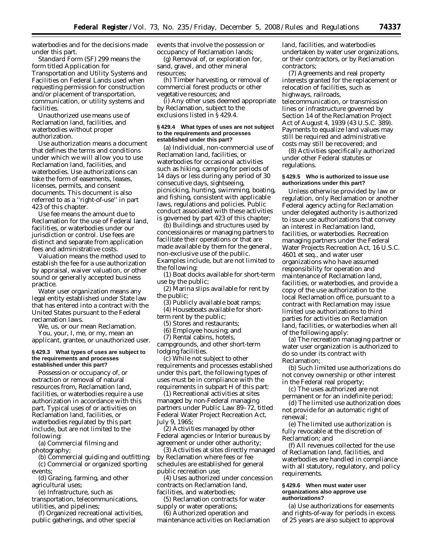waterbodies and for the decisions made under this part.

*Standard Form (SF) 299* means the form titled Application for Transportation and Utility Systems and Facilities on Federal Lands used when requesting permission for construction and/or placement of transportation, communication, or utility systems and facilities.

*Unauthorized use* means use of Reclamation land, facilities, and waterbodies without proper authorization.

*Use authorization* means a document that defines the terms and conditions under which we will allow you to use Reclamation land, facilities, and waterbodies. Use authorizations can take the form of easements, leases, licenses, permits, and consent documents. This document is also referred to as a ''right-of-use'' in part 423 of this chapter.

*Use fee* means the amount due to Reclamation for the use of Federal land, facilities, or waterbodies under our jurisdiction or control. Use fees are distinct and separate from application fees and administrative costs.

*Valuation* means the method used to establish the fee for a use authorization by appraisal, waiver valuation, or other sound or generally accepted business practice.

*Water user organization* means any legal entity established under State law that has entered into a contract with the United States pursuant to the Federal reclamation laws.

*We, us,* or *our* mean Reclamation.

*You, your, I, me,* or *my,* mean an applicant, grantee, or unauthorized user.

#### **§ 429.3 What types of uses are subject to the requirements and processes established under this part?**

Possession or occupancy of, or extraction or removal of natural resources from, Reclamation land, facilities, or waterbodies require a use authorization in accordance with this part. Typical uses of or activities on Reclamation land, facilities, or waterbodies regulated by this part include, but are not limited to the following:

(a) Commercial filming and photography;

(b) Commercial guiding and outfitting; (c) Commercial or organized sporting events;

(d) Grazing, farming, and other agricultural uses;

(e) Infrastructure, such as

transportation, telecommunications, utilities, and pipelines;

(f) Organized recreational activities, public gatherings, and other special

events that involve the possession or occupancy of Reclamation lands;

(g) Removal of, or exploration for, sand, gravel, and other mineral resources;

(h) Timber harvesting, or removal of commercial forest products or other vegetative resources; and

(i) Any other uses deemed appropriate by Reclamation, subject to the exclusions listed in § 429.4.

#### **§ 429.4 What types of uses are not subject to the requirements and processes established under this part?**

(a) Individual, non-commercial use of Reclamation land, facilities, or waterbodies for occasional activities such as hiking, camping for periods of 14 days or less during any period of 30 consecutive days, sightseeing, picnicking, hunting, swimming, boating, and fishing, consistent with applicable laws, regulations and policies. Public conduct associated with these activities is governed by part 423 of this chapter;

(b) Buildings and structures used by concessionaires or managing partners to facilitate their operations or that are made available by them for the general, non-exclusive use of the public. Examples include, but are not limited to the following:

(1) Boat docks available for short-term use by the public;

(2) Marina slips available for rent by the public;

(3) Publicly available boat ramps; (4) Houseboats available for short-

term rent by the public;

(5) Stores and restaurants;

(6) Employee housing; and

(7) Rental cabins, hotels,

campgrounds, and other short-term lodging facilities.

(c) While not subject to other requirements and processes established under this part, the following types of uses must be in compliance with the requirements in subpart H of this part:

(1) Recreational activities at sites managed by non-Federal managing partners under Public Law 89–72, titled Federal Water Project Recreation Act, July 9, 1965;

(2) Activities managed by other Federal agencies or Interior bureaus by agreement or under other authority;

(3) Activities at sites directly managed by Reclamation where fees or fee schedules are established for general public recreation use;

(4) Uses authorized under concession contracts on Reclamation land, facilities, and waterbodies;

(5) Reclamation contracts for water supply or water operations;

(6) Authorized operation and maintenance activities on Reclamation land, facilities, and waterbodies undertaken by water user organizations, or their contractors, or by Reclamation contractors;

(7) Agreements and real property interests granted for the replacement or relocation of facilities, such as highways, railroads,

telecommunication, or transmission lines or infrastructure governed by Section 14 of the Reclamation Project Act of August 4, 1939 (43 U.S.C. 389). Payments to equalize land values may still be required and administrative costs may still be recovered; and

(8) Activities specifically authorized under other Federal statutes or regulations.

#### **§ 429.5 Who is authorized to issue use authorizations under this part?**

Unless otherwise provided by law or regulation, only Reclamation or another Federal agency acting for Reclamation under delegated authority is authorized to issue use authorizations that convey an interest in Reclamation land, facilities, or waterbodies. Recreation managing partners under the Federal Water Projects Recreation Act, 16 U.S.C. 4601 *et seq.,* and water user organizations who have assumed responsibility for operation and maintenance of Reclamation land, facilities, or waterbodies, and provide a copy of the use authorization to the local Reclamation office, pursuant to a contract with Reclamation may issue limited use authorizations to third parties for activities on Reclamation land, facilities, or waterbodies when all of the following apply:

(a) The recreation managing partner or water user organization is authorized to do so under its contract with Reclamation;

(b) Such limited use authorizations do not convey ownership or other interest in the Federal real property;

(c) The uses authorized are not permanent or for an indefinite period;

(d) The limited use authorization does not provide for an automatic right of renewal;

(e) The limited use authorization is fully revocable at the discretion of Reclamation; and

(f) All revenues collected for the use of Reclamation land, facilities, and waterbodies are handled in compliance with all statutory, regulatory, and policy requirements.

#### **§ 429.6 When must water user organizations also approve use authorizations?**

(a) Use authorizations for easements and rights-of-way for periods in excess of 25 years are also subject to approval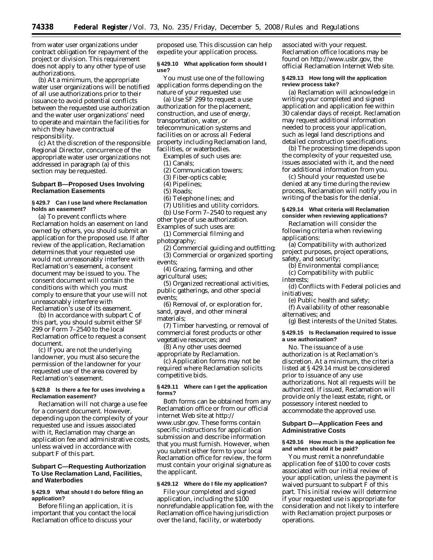from water user organizations under contract obligation for repayment of the project or division. This requirement does not apply to any other type of use authorizations.

(b) At a minimum, the appropriate water user organizations will be notified of all use authorizations prior to their issuance to avoid potential conflicts between the requested use authorization and the water user organizations' need to operate and maintain the facilities for which they have contractual responsibility.

(c) At the discretion of the responsible Regional Director, concurrence of the appropriate water user organizations not addressed in paragraph (a) of this section may be requested.

## **Subpart B—Proposed Uses Involving Reclamation Easements**

#### **§ 429.7 Can I use land where Reclamation holds an easement?**

(a) To prevent conflicts where Reclamation holds an easement on land owned by others, you should submit an application for the proposed use. If after review of the application, Reclamation determines that your requested use would not unreasonably interfere with Reclamation's easement, a consent document may be issued to you. The consent document will contain the conditions with which you must comply to ensure that your use will not unreasonably interfere with Reclamation's use of its easement.

(b) In accordance with subpart C of this part, you should submit either SF 299 or Form 7–2540 to the local Reclamation office to request a consent document.

(c) If you are not the underlying landowner, you must also secure the permission of the landowner for your requested use of the area covered by Reclamation's easement.

#### **§ 429.8 Is there a fee for uses involving a Reclamation easement?**

Reclamation will not charge a use fee for a consent document. However, depending upon the complexity of your requested use and issues associated with it, Reclamation may charge an application fee and administrative costs, unless waived in accordance with subpart F of this part.

## **Subpart C—Requesting Authorization To Use Reclamation Land, Facilities, and Waterbodies**

#### **§ 429.9 What should I do before filing an application?**

Before filing an application, it is important that you contact the local Reclamation office to discuss your

proposed use. This discussion can help expedite your application process.

#### **§ 429.10 What application form should I use?**

You must use one of the following application forms depending on the nature of your requested use:

(a) Use SF 299 to request a use authorization for the placement, construction, and use of energy, transportation, water, or telecommunication systems and facilities on or across all Federal property including Reclamation land, facilities, or waterbodies.

Examples of such uses are:

(1) Canals;

- (2) Communication towers;
- (3) Fiber-optics cable;
- (4) Pipelines;
- (5) Roads;
- (6) Telephone lines; and
- (7) Utilities and utility corridors.
- (b) Use Form 7–2540 to request any

other type of use authorization.

Examples of such uses are: (1) Commercial filming and

photography;

(2) Commercial guiding and outfitting; (3) Commercial or organized sporting events;

(4) Grazing, farming, and other agricultural uses;

(5) Organized recreational activities, public gatherings, and other special events;

(6) Removal of, or exploration for, sand, gravel, and other mineral materials;

(7) Timber harvesting, or removal of commercial forest products or other vegetative resources; and

(8) Any other uses deemed appropriate by Reclamation.

(c) Application forms may not be required where Reclamation solicits competitive bids.

## **§ 429.11 Where can I get the application forms?**

Both forms can be obtained from any Reclamation office or from our official [internet Web site at](http://www.usbr.gov) *http:// www.usbr.gov.* These forms contain specific instructions for application submission and describe information that you must furnish. However, when you submit either form to your local Reclamation office for review, the form must contain your original signature as the applicant.

## **§ 429.12 Where do I file my application?**

File your completed and signed application, including the \$100 nonrefundable application fee, with the Reclamation office having jurisdiction over the land, facility, or waterbody

associated with your request. Reclamation office locations may be found on *[http://www.usbr.gov,](http://www.usbr.gov)* the official Reclamation Internet Web site.

#### **§ 429.13 How long will the application review process take?**

(a) Reclamation will acknowledge in writing your completed and signed application and application fee within 30 calendar days of receipt. Reclamation may request additional information needed to process your application, such as legal land descriptions and detailed construction specifications.

(b) The processing time depends upon the complexity of your requested use, issues associated with it, and the need for additional information from you.

(c) Should your requested use be denied at any time during the review process, Reclamation will notify you in writing of the basis for the denial.

## **§ 429.14 What criteria will Reclamation consider when reviewing applications?**

Reclamation will consider the following criteria when reviewing applications:

(a) Compatibility with authorized project purposes, project operations, safety, and security;

(b) Environmental compliance;

- (c) Compatibility with public
- interests;

(d) Conflicts with Federal policies and initiatives;

(e) Public health and safety;

(f) Availability of other reasonable alternatives; and

(g) Best interests of the United States.

## **§ 429.15 Is Reclamation required to issue a use authorization?**

No. The issuance of a use authorization is at Reclamation's discretion. At a minimum, the criteria listed at § 429.14 must be considered prior to issuance of any use authorizations. Not all requests will be authorized. If issued, Reclamation will provide only the least estate, right, or possessory interest needed to accommodate the approved use.

## **Subpart D—Application Fees and Administrative Costs**

#### **§ 429.16 How much is the application fee and when should it be paid?**

You must remit a nonrefundable application fee of \$100 to cover costs associated with our initial review of your application, unless the payment is waived pursuant to subpart F of this part. This initial review will determine if your requested use is appropriate for consideration and not likely to interfere with Reclamation project purposes or operations.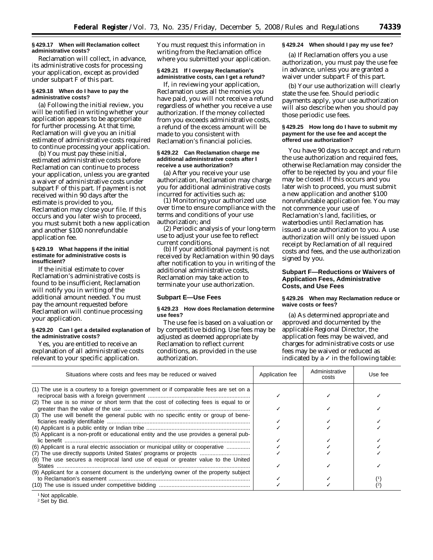#### **§ 429.17 When will Reclamation collect administrative costs?**

Reclamation will collect, in advance, its administrative costs for processing your application, except as provided under subpart F of this part.

#### **§ 429.18 When do I have to pay the administrative costs?**

(a) Following the initial review, you will be notified in writing whether your application appears to be appropriate for further processing. At that time, Reclamation will give you an initial estimate of administrative costs required to continue processing your application.

(b) You must pay these initial, estimated administrative costs before Reclamation can continue to process your application, unless you are granted a waiver of administrative costs under subpart F of this part. If payment is not received within 90 days after the estimate is provided to you, Reclamation may close your file. If this occurs and you later wish to proceed, you must submit both a new application and another \$100 nonrefundable application fee.

#### **§ 429.19 What happens if the initial estimate for administrative costs is insufficient?**

If the initial estimate to cover Reclamation's administrative costs is found to be insufficient, Reclamation will notify you in writing of the additional amount needed. You must pay the amount requested before Reclamation will continue processing your application.

## **§ 429.20 Can I get a detailed explanation of the administrative costs?**

Yes, you are entitled to receive an explanation of all administrative costs relevant to your specific application.

You must request this information in writing from the Reclamation office where you submitted your application.

## **§ 429.21 If I overpay Reclamation's administrative costs, can I get a refund?**

If, in reviewing your application, Reclamation uses all the monies you have paid, you will not receive a refund regardless of whether you receive a use authorization. If the money collected from you exceeds administrative costs, a refund of the excess amount will be made to you consistent with Reclamation's financial policies.

#### **§ 429.22 Can Reclamation charge me additional administrative costs after I receive a use authorization?**

(a) After you receive your use authorization, Reclamation may charge you for additional administrative costs incurred for activities such as:

(1) Monitoring your authorized use over time to ensure compliance with the terms and conditions of your use authorization; and

(2) Periodic analysis of your long-term use to adjust your use fee to reflect current conditions.

(b) If your additional payment is not received by Reclamation within 90 days after notification to you in writing of the additional administrative costs, Reclamation may take action to terminate your use authorization.

#### **Subpart E—Use Fees**

#### **§ 429.23 How does Reclamation determine use fees?**

The use fee is based on a valuation or by competitive bidding. Use fees may be adjusted as deemed appropriate by Reclamation to reflect current conditions, as provided in the use authorization.

## **§ 429.24 When should I pay my use fee?**

(a) If Reclamation offers you a use authorization, you must pay the use fee in advance, unless you are granted a waiver under subpart F of this part.

(b) Your use authorization will clearly state the use fee. Should periodic payments apply, your use authorization will also describe when you should pay those periodic use fees.

#### **§ 429.25 How long do I have to submit my payment for the use fee and accept the offered use authorization?**

You have 90 days to accept and return the use authorization and required fees, otherwise Reclamation may consider the offer to be rejected by you and your file may be closed. If this occurs and you later wish to proceed, you must submit a new application and another \$100 nonrefundable application fee. You may not commence your use of Reclamation's land, facilities, or waterbodies until Reclamation has issued a use authorization to you. A use authorization will only be issued upon receipt by Reclamation of all required costs and fees, and the use authorization signed by you.

## **Subpart F—Reductions or Waivers of Application Fees, Administrative Costs, and Use Fees**

## **§ 429.26 When may Reclamation reduce or waive costs or fees?**

(a) As determined appropriate and approved and documented by the applicable Regional Director, the application fees may be waived, and charges for administrative costs or use fees may be waived or reduced as indicated by a  $\checkmark$  in the following table:

| Situations where costs and fees may be reduced or waived                                                                                                                                                                                          | Application fee | Administrative<br>costs | Use fee |
|---------------------------------------------------------------------------------------------------------------------------------------------------------------------------------------------------------------------------------------------------|-----------------|-------------------------|---------|
| (1) The use is a courtesy to a foreign government or if comparable fees are set on a<br>(2) The use is so minor or short term that the cost of collecting fees is equal to or                                                                     |                 |                         |         |
| (3) The use will benefit the general public with no specific entity or group of bene-                                                                                                                                                             |                 |                         |         |
| (5) Applicant is a non-profit or educational entity and the use provides a general pub-<br>(6) Applicant is a rural electric association or municipal utility or cooperative<br>(7) The use directly supports United States' programs or projects |                 |                         |         |
| (8) The use secures a reciprocal land use of equal or greater value to the United<br>(9) Applicant for a consent document is the underlying owner of the property subject                                                                         |                 |                         |         |
|                                                                                                                                                                                                                                                   |                 |                         |         |

<sup>1</sup> Not applicable.

<sup>&</sup>lt;sup>2</sup> Set by Bid.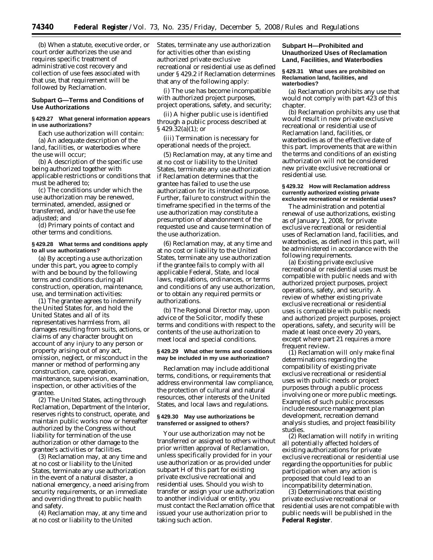(b) When a statute, executive order, or court order authorizes the use and requires specific treatment of administrative cost recovery and collection of use fees associated with that use, that requirement will be followed by Reclamation.

## **Subpart G—Terms and Conditions of Use Authorizations**

#### **§ 429.27 What general information appears in use authorizations?**

Each use authorization will contain: (a) An adequate description of the land, facilities, or waterbodies where the use will occur;

(b) A description of the specific use being authorized together with applicable restrictions or conditions that must be adhered to;

(c) The conditions under which the use authorization may be renewed, terminated, amended, assigned or transferred, and/or have the use fee adjusted; and

(d) Primary points of contact and other terms and conditions.

#### **§ 429.28 What terms and conditions apply to all use authorizations?**

(a) By accepting a use authorization under this part, you agree to comply with and be bound by the following terms and conditions during all construction, operation, maintenance, use, and termination activities:

(1) The grantee agrees to indemnify the United States for, and hold the United States and all of its representatives harmless from, all damages resulting from suits, actions, or claims of any character brought on account of any injury to any person or property arising out of any act, omission, neglect, or misconduct in the manner or method of performing any construction, care, operation, maintenance, supervision, examination, inspection, or other activities of the grantee.

(2) The United States, acting through Reclamation, Department of the Interior, reserves rights to construct, operate, and maintain public works now or hereafter authorized by the Congress without liability for termination of the use authorization or other damage to the grantee's activities or facilities.

(3) Reclamation may, at any time and at no cost or liability to the United States, terminate any use authorization in the event of a natural disaster, a national emergency, a need arising from security requirements, or an immediate and overriding threat to public health and safety.

(4) Reclamation may, at any time and at no cost or liability to the United

States, terminate any use authorization for activities other than existing authorized private exclusive recreational or residential use as defined under § 429.2 if Reclamation determines that any of the following apply:

(i) The use has become incompatible with authorized project purposes, project operations, safety, and security;

(ii) A higher public use is identified through a public process described at § 429.32(a)(1); or

(iii) Termination is necessary for operational needs of the project.

(5) Reclamation may, at any time and at no cost or liability to the United States, terminate any use authorization if Reclamation determines that the grantee has failed to use the use authorization for its intended purpose. Further, failure to construct within the timeframe specified in the terms of the use authorization may constitute a presumption of abandonment of the requested use and cause termination of the use authorization.

(6) Reclamation may, at any time and at no cost or liability to the United States, terminate any use authorization if the grantee fails to comply with all applicable Federal, State, and local laws, regulations, ordinances, or terms and conditions of any use authorization, or to obtain any required permits or authorizations.

(b) The Regional Director may, upon advice of the Solicitor, modify these terms and conditions with respect to the contents of the use authorization to meet local and special conditions.

#### **§ 429.29 What other terms and conditions may be included in my use authorization?**

Reclamation may include additional terms, conditions, or requirements that address environmental law compliance, the protection of cultural and natural resources, other interests of the United States, and local laws and regulations.

#### **§ 429.30 May use authorizations be transferred or assigned to others?**

Your use authorization may not be transferred or assigned to others without prior written approval of Reclamation, unless specifically provided for in your use authorization or as provided under subpart H of this part for existing private exclusive recreational and residential uses. Should you wish to transfer or assign your use authorization to another individual or entity, you must contact the Reclamation office that issued your use authorization prior to taking such action.

## **Subpart H—Prohibited and Unauthorized Uses of Reclamation Land, Facilities, and Waterbodies**

#### **§ 429.31 What uses are prohibited on Reclamation land, facilities, and waterbodies?**

(a) Reclamation prohibits any use that would not comply with part 423 of this chapter.

(b) Reclamation prohibits any use that would result in new private exclusive recreational or residential use of Reclamation land, facilities, or waterbodies as of the effective date of this part. Improvements that are within the terms and conditions of an existing authorization will not be considered new private exclusive recreational or residential use.

#### **§ 429.32 How will Reclamation address currently authorized existing private exclusive recreational or residential uses?**

The administration and potential renewal of use authorizations, existing as of January 1, 2008, for private exclusive recreational or residential uses of Reclamation land, facilities, and waterbodies, as defined in this part, will be administered in accordance with the following requirements.

(a) Existing private exclusive recreational or residential uses must be compatible with public needs and with authorized project purposes, project operations, safety, and security. A review of whether existing private exclusive recreational or residential uses is compatible with public needs and authorized project purposes, project operations, safety, and security will be made at least once every 20 years, except where part 21 requires a more frequent review.

 $(1)$  Reclamation will only make final determinations regarding the compatibility of existing private exclusive recreational or residential uses with public needs or project purposes through a public process involving one or more public meetings. Examples of such public processes include resource management plan development, recreation demand analysis studies, and project feasibility studies.

(2) Reclamation will notify in writing all potentially affected holders of existing authorizations for private exclusive recreational or residential use regarding the opportunities for public participation when any action is proposed that could lead to an incompatibility determination.

(3) Determinations that existing private exclusive recreational or residential uses are not compatible with public needs will be published in the **Federal Register**.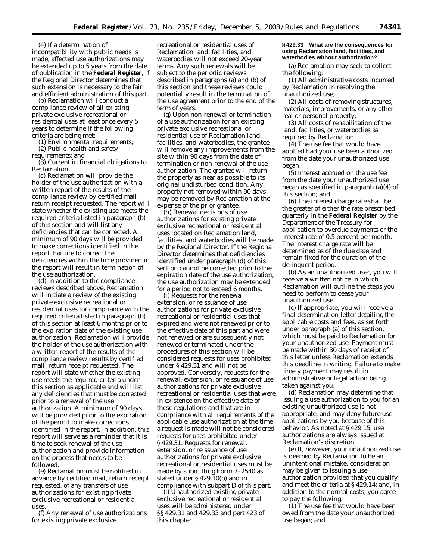(4) If a determination of incompatibility with public needs is made, affected use authorizations may be extended up to 5 years from the date of publication in the **Federal Register**, if the Regional Director determines that such extension is necessary to the fair and efficient administration of this part.

(b) Reclamation will conduct a compliance review of all existing private exclusive recreational or residential uses at least once every 5 years to determine if the following criteria are being met:

(1) Environmental requirements;

(2) Public health and safety requirements; and

(3) Current in financial obligations to Reclamation.

(c) Reclamation will provide the holder of the use authorization with a written report of the results of the compliance review by certified mail, return receipt requested. The report will state whether the existing use meets the required criteria listed in paragraph (b) of this section and will list any deficiencies that can be corrected. A minimum of 90 days will be provided to make corrections identified in the report. Failure to correct the deficiencies within the time provided in the report will result in termination of the use authorization.

(d) In addition to the compliance reviews described above, Reclamation will initiate a review of the existing private exclusive recreational or residential uses for compliance with the required criteria listed in paragraph (b) of this section at least 6 months prior to the expiration date of the existing use authorization. Reclamation will provide the holder of the use authorization with a written report of the results of the compliance review results by certified mail, return receipt requested. The report will state whether the existing use meets the required criteria under this section as applicable and will list any deficiencies that must be corrected prior to a renewal of the use authorization. A minimum of 90 days will be provided prior to the expiration of the permit to make corrections identified in the report. In addition, this report will serve as a reminder that it is time to seek renewal of the use authorization and provide information on the process that needs to be followed.

(e) Reclamation must be notified in advance by certified mail, return receipt requested, of any transfers of use authorizations for existing private exclusive recreational or residential uses.

(f) Any renewal of use authorizations for existing private exclusive

recreational or residential uses of Reclamation land, facilities, and waterbodies will not exceed 20-year terms. Any such renewals will be subject to the periodic reviews described in paragraphs (a) and (b) of this section and these reviews could potentially result in the termination of the use agreement prior to the end of the term of years.

(g) Upon non-renewal or termination of a use authorization for an existing private exclusive recreational or residential use of Reclamation land, facilities, and waterbodies, the grantee will remove any improvements from the site within 90 days from the date of termination or non-renewal of the use authorization. The grantee will return the property as near as possible to its original undisturbed condition. Any property not removed within 90 days may be removed by Reclamation at the expense of the prior grantee.

(h) Renewal decisions of use authorizations for existing private exclusive recreational or residential uses located on Reclamation land, facilities, and waterbodies will be made by the Regional Director. If the Regional Director determines that deficiencies identified under paragraph (d) of this section cannot be corrected prior to the expiration date of the use authorization, the use authorization may be extended for a period not to exceed 6 months.

(i) Requests for the renewal, extension, or reissuance of use authorizations for private exclusive recreational or residential uses that expired and were not renewed prior to the effective date of this part and were not renewed or are subsequently not renewed or terminated under the procedures of this section will be considered requests for uses prohibited under § 429.31 and will not be approved. Conversely, requests for the renewal, extension, or reissuance of use authorizations for private exclusive recreational or residential uses that were in existence on the effective date of these regulations and that are in compliance with all requirements of the applicable use authorization at the time a request is made will not be considered requests for uses prohibited under § 429.31. Requests for renewal, extension, or reissuance of use authorizations for private exclusive recreational or residential uses must be made by submitting Form 7–2540 as stated under § 429.10(b) and in compliance with subpart D of this part.

(j) Unauthorized existing private exclusive recreational or residential uses will be administered under §§ 429.31 and 429.33 and part 423 of this chapter.

#### **§ 429.33 What are the consequences for using Reclamation land, facilities, and waterbodies without authorization?**

(a) Reclamation may seek to collect the following:

(1) All administrative costs incurred by Reclamation in resolving the unauthorized use;

(2) All costs of removing structures, materials, improvements, or any other real or personal property;

(3) All costs of rehabilitation of the land, facilities, or waterbodies as required by Reclamation.

(4) The use fee that would have applied had your use been authorized from the date your unauthorized use began;

(5) Interest accrued on the use fee from the date your unauthorized use began as specified in paragraph (a)(4) of this section; and

(6) The interest charge rate shall be the greater of either the rate prescribed quarterly in the **Federal Register** by the Department of the Treasury for application to overdue payments or the interest rate of 0.5 percent per month. The interest charge rate will be determined as of the due date and remain fixed for the duration of the delinquent period.

(b) As an unauthorized user, you will receive a written notice in which Reclamation will outline the steps you need to perform to cease your unauthorized use.

(c) If appropriate, you will receive a final determination letter detailing the applicable costs and fees, as set forth under paragraph (a) of this section, which must be paid to Reclamation for your unauthorized use. Payment must be made within 30 days of receipt of this letter unless Reclamation extends this deadline in writing. Failure to make timely payment may result in administrative or legal action being taken against you.

(d) Reclamation may determine that issuing a use authorization to you for an existing unauthorized use is not appropriate; and may deny future use applications by you because of this behavior. As noted at § 429.15, use authorizations are always issued at Reclamation's discretion.

(e) If, however, your unauthorized use is deemed by Reclamation to be an unintentional mistake, consideration may be given to issuing a use authorization provided that you qualify and meet the criteria at § 429.14; and, in addition to the normal costs, you agree to pay the following:

(1) The use fee that would have been owed from the date your unauthorized use began; and